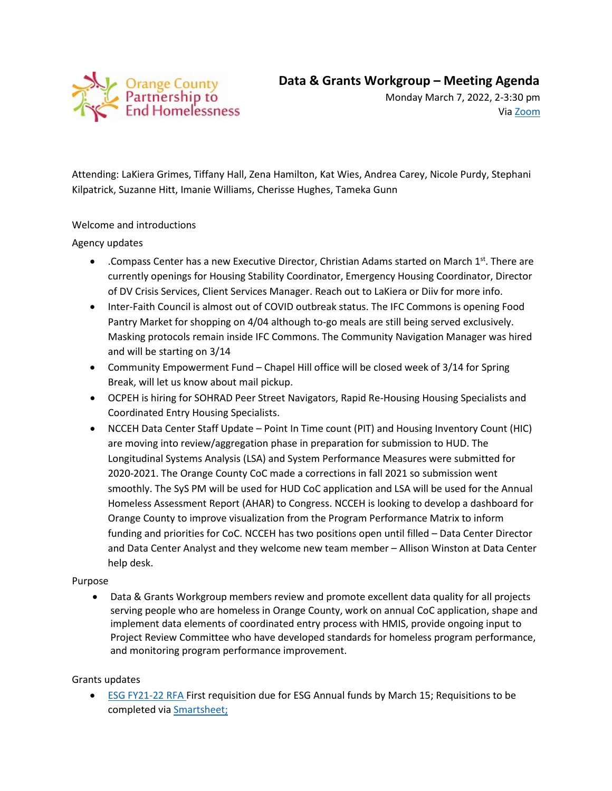

Monday March 7, 2022, 2-3:30 pm Via [Zoom](https://orangecountync.zoom.us/j/85241783763?pwd=MVhNbWlwNDNMS2k4U1habXRDTWJ4Zz09)

Attending: LaKiera Grimes, Tiffany Hall, Zena Hamilton, Kat Wies, Andrea Carey, Nicole Purdy, Stephani Kilpatrick, Suzanne Hitt, Imanie Williams, Cherisse Hughes, Tameka Gunn

# Welcome and introductions

# Agency updates

- Compass Center has a new Executive Director, Christian Adams started on March  $1^{st}$ . There are currently openings for Housing Stability Coordinator, Emergency Housing Coordinator, Director of DV Crisis Services, Client Services Manager. Reach out to LaKiera or Diiv for more info.
- Inter-Faith Council is almost out of COVID outbreak status. The IFC Commons is opening Food Pantry Market for shopping on 4/04 although to-go meals are still being served exclusively. Masking protocols remain inside IFC Commons. The Community Navigation Manager was hired and will be starting on 3/14
- Community Empowerment Fund Chapel Hill office will be closed week of 3/14 for Spring Break, will let us know about mail pickup.
- OCPEH is hiring for SOHRAD Peer Street Navigators, Rapid Re-Housing Housing Specialists and Coordinated Entry Housing Specialists.
- NCCEH Data Center Staff Update Point In Time count (PIT) and Housing Inventory Count (HIC) are moving into review/aggregation phase in preparation for submission to HUD. The Longitudinal Systems Analysis (LSA) and System Performance Measures were submitted for 2020-2021. The Orange County CoC made a corrections in fall 2021 so submission went smoothly. The SyS PM will be used for HUD CoC application and LSA will be used for the Annual Homeless Assessment Report (AHAR) to Congress. NCCEH is looking to develop a dashboard for Orange County to improve visualization from the Program Performance Matrix to inform funding and priorities for CoC. NCCEH has two positions open until filled – Data Center Director and Data Center Analyst and they welcome new team member – Allison Winston at Data Center help desk.

## Purpose

• Data & Grants Workgroup members review and promote excellent data quality for all projects serving people who are homeless in Orange County, work on annual CoC application, shape and implement data elements of coordinated entry process with HMIS, provide ongoing input to Project Review Committee who have developed standards for homeless program performance, and monitoring program performance improvement.

## Grants updates

• [ESG FY21-22 RFA](https://www.ncdhhs.gov/divisions/aging-and-adult-services/nc-emergency-solutions-grant/nc-emergency-solutions-grant-grantee-information/aging-and-adult-services-grant-opportunities) First requisition due for ESG Annual funds by March 15; Requisitions to be completed vi[a Smartsheet;](https://urldefense.proofpoint.com/v2/url?u=https-3A__app.smartsheet.com_b_form_cc03fe4b09e04b558e5466ddb08e3c55&d=DwMF-g&c=JRU6Crajf79kKcplUJFHFfpcQ9GkS9xWLut8YRTooJY&r=tamDsYw_orhngprp2k7bLpSF5nPh8PlRg1xAL0JYa6I&m=IaLcTJ5_mShOd4-OWszWGbGWP8Ocqjo0F7kiobHlZjMdGykuPlJ9UBcw144ZGzT0&s=SMkYLcVGid6qK9Er3VaW1d1Z9n1jS-yU0cPnZbFew7w&e=)